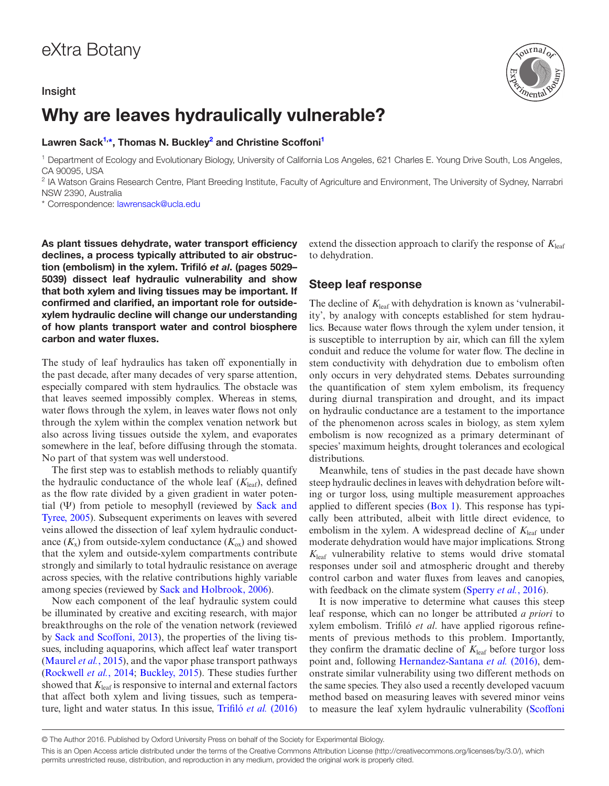### Insight



## Why are leaves hydraulically vulnerable?

Lawren Sack<sup>[1](#page-2-0),[\\*](#page-2-1)</sup>, Thomas N. Buckley<sup>[2](#page-2-2)</sup> and Christine Scoffoni<sup>1</sup>

<sup>1</sup> Department of Ecology and Evolutionary Biology, University of California Los Angeles, 621 Charles E. Young Drive South, Los Angeles, CA 90095, USA

<sup>2</sup> IA Watson Grains Research Centre, Plant Breeding Institute, Faculty of Agriculture and Environment, The University of Sydney, Narrabri NSW 2390, Australia

\* Correspondence: [lawrensack@ucla.edu](mailto:lawrensack@ucla.edu?subject=)

As plant tissues dehydrate, water transport efficiency declines, a process typically attributed to air obstruction (embolism) in the xylem. Trifiló *et al*. (pages 5029– 5039) dissect leaf hydraulic vulnerability and show that both xylem and living tissues may be important. If confirmed and clarified, an important role for outsidexylem hydraulic decline will change our understanding of how plants transport water and control biosphere carbon and water fluxes.

The study of leaf hydraulics has taken off exponentially in the past decade, after many decades of very sparse attention, especially compared with stem hydraulics. The obstacle was that leaves seemed impossibly complex. Whereas in stems, water flows through the xylem, in leaves water flows not only through the xylem within the complex venation network but also across living tissues outside the xylem, and evaporates somewhere in the leaf, before diffusing through the stomata. No part of that system was well understood.

The first step was to establish methods to reliably quantify the hydraulic conductance of the whole leaf  $(K_{\text{leaf}})$ , defined as the flow rate divided by a given gradient in water potential (Ψ) from petiole to mesophyll (reviewed by [Sack and](#page--1-0)  [Tyree, 2005](#page--1-0)). Subsequent experiments on leaves with severed veins allowed the dissection of leaf xylem hydraulic conductance  $(K_x)$  from outside-xylem conductance  $(K_{\alpha x})$  and showed that the xylem and outside-xylem compartments contribute strongly and similarly to total hydraulic resistance on average across species, with the relative contributions highly variable among species (reviewed by [Sack and Holbrook, 2006\)](#page--1-1).

Now each component of the leaf hydraulic system could be illuminated by creative and exciting research, with major breakthroughs on the role of the venation network (reviewed by [Sack and Scoffoni, 2013\)](#page--1-2), the properties of the living tissues, including aquaporins, which affect leaf water transport [\(Maurel](#page--1-3) *et al.*, 2015), and the vapor phase transport pathways [\(Rockwell](#page--1-4) *et al.*, 2014; [Buckley, 2015\)](#page--1-5). These studies further showed that  $K_{\text{leaf}}$  is responsive to internal and external factors that affect both xylem and living tissues, such as temperature, light and water status. In this issue, Trifiló *et al.* [\(2016\)](#page--1-6)

extend the dissection approach to clarify the response of  $K_{\text{leaf}}$ to dehydration.

## Steep leaf response

The decline of  $K_{\text{leaf}}$  with dehydration is known as 'vulnerability', by analogy with concepts established for stem hydraulics. Because water flows through the xylem under tension, it is susceptible to interruption by air, which can fill the xylem conduit and reduce the volume for water flow. The decline in stem conductivity with dehydration due to embolism often only occurs in very dehydrated stems. Debates surrounding the quantification of stem xylem embolism, its frequency during diurnal transpiration and drought, and its impact on hydraulic conductance are a testament to the importance of the phenomenon across scales in biology, as stem xylem embolism is now recognized as a primary determinant of species' maximum heights, drought tolerances and ecological distributions.

Meanwhile, tens of studies in the past decade have shown steep hydraulic declines in leaves with dehydration before wilting or turgor loss, using multiple measurement approaches applied to different species  $(Box 1)$  $(Box 1)$ . This response has typically been attributed, albeit with little direct evidence, to embolism in the xylem. A widespread decline of  $K_{\text{leaf}}$  under moderate dehydration would have major implications. Strong  $K_{\text{leaf}}$  vulnerability relative to stems would drive stomatal responses under soil and atmospheric drought and thereby control carbon and water fluxes from leaves and canopies, with feedback on the climate system [\(Sperry](#page--1-8) *et al.*, 2016).

It is now imperative to determine what causes this steep leaf response, which can no longer be attributed *a priori* to xylem embolism. Trifiló *et al*. have applied rigorous refinements of previous methods to this problem. Importantly, they confirm the dramatic decline of  $K_{\text{leaf}}$  before turgor loss point and, following [Hernandez-Santana](#page--1-9) *et al.* (2016), demonstrate similar vulnerability using two different methods on the same species. They also used a recently developed vacuum method based on measuring leaves with severed minor veins to measure the leaf xylem hydraulic vulnerability ([Scoffoni](#page--1-10)

<sup>©</sup> The Author 2016. Published by Oxford University Press on behalf of the Society for Experimental Biology.

This is an Open Access article distributed under the terms of the Creative Commons Attribution License (http://creativecommons.org/licenses/by/3.0/), which permits unrestricted reuse, distribution, and reproduction in any medium, provided the original work is properly cited.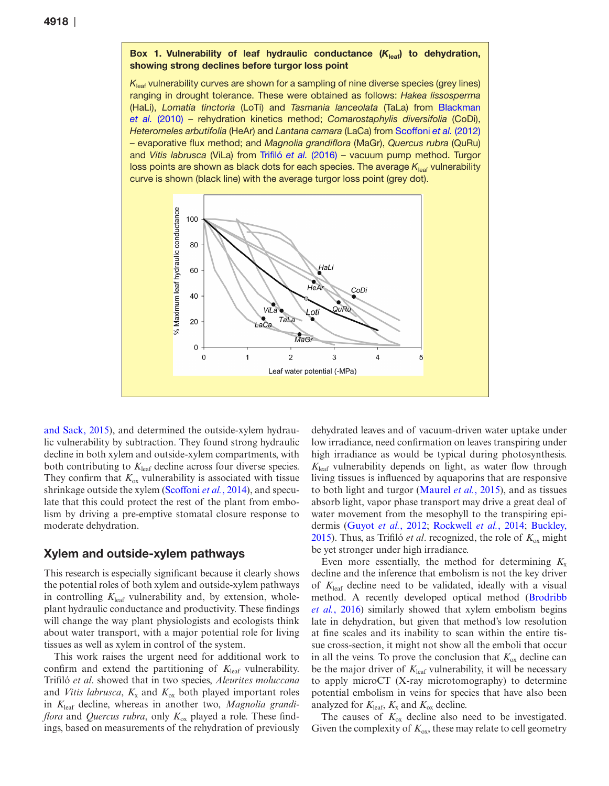#### Box 1. Vulnerability of leaf hydraulic conductance (K<sub>leaf</sub>) to dehydration, showing strong declines before turgor loss point

*K*leaf vulnerability curves are shown for a sampling of nine diverse species (grey lines) ranging in drought tolerance. These were obtained as follows: *Hakea lissosperma* (HaLi), *Lomatia tinctoria* (LoTi) and *Tasmania lanceolata* (TaLa) from [Blackman](#page--1-14)  *et al.* [\(2010\)](#page--1-14) – rehydration kinetics method; *Comarostaphylis diversifolia* (CoDi), *Heteromeles arbutifolia* (HeAr) and *Lantana camara* (LaCa) from [Scoffoni](#page--1-12) *et al.* (2012) – evaporative flux method; and *Magnolia grandiflora* (MaGr), *Quercus rubra* (QuRu) and *Vitis labrusca* (ViLa) from Trifiló *et al.* [\(2016\)](#page--1-6) – vacuum pump method. Turgor loss points are shown as black dots for each species. The average  $K_{\text{leaf}}$  vulnerability curve is shown (black line) with the average turgor loss point (grey dot).



[and Sack, 2015\)](#page--1-10), and determined the outside-xylem hydraulic vulnerability by subtraction. They found strong hydraulic decline in both xylem and outside-xylem compartments, with both contributing to  $K_{\text{leaf}}$  decline across four diverse species. They confirm that  $K_{ox}$  vulnerability is associated with tissue shrinkage outside the xylem [\(Scoffoni](#page--1-11) *et al.*, 2014), and speculate that this could protect the rest of the plant from embolism by driving a pre-emptive stomatal closure response to moderate dehydration.

#### Xylem and outside-xylem pathways

This research is especially significant because it clearly shows the potential roles of both xylem and outside-xylem pathways in controlling  $K_{\text{leaf}}$  vulnerability and, by extension, wholeplant hydraulic conductance and productivity. These findings will change the way plant physiologists and ecologists think about water transport, with a major potential role for living tissues as well as xylem in control of the system.

This work raises the urgent need for additional work to confirm and extend the partitioning of  $K_{\text{leaf}}$  vulnerability. Trifiló *et al*. showed that in two species, *Aleurites moluccana* and *Vitis labrusca*,  $K_x$  and  $K_{\text{ox}}$  both played important roles in *K*leaf decline, whereas in another two, *Magnolia grandiflora* and *Quercus rubra*, only  $K_{ox}$  played a role. These findings, based on measurements of the rehydration of previously dehydrated leaves and of vacuum-driven water uptake under low irradiance, need confirmation on leaves transpiring under high irradiance as would be typical during photosynthesis.  $K_{\text{leaf}}$  vulnerability depends on light, as water flow through living tissues is influenced by aquaporins that are responsive to both light and turgor [\(Maurel](#page--1-3) *et al.*, 2015), and as tissues absorb light, vapor phase transport may drive a great deal of water movement from the mesophyll to the transpiring epidermis [\(Guyot](#page--1-12) *et al.*, 2012; [Rockwell](#page--1-4) *et al.*, 2014; [Buckley,](#page--1-5) [2015](#page--1-5)). Thus, as Trifiló *et al.* recognized, the role of  $K_{ox}$  might be yet stronger under high irradiance.

Even more essentially, the method for determining  $K_x$ decline and the inference that embolism is not the key driver of *K*leaf decline need to be validated, ideally with a visual method. A recently developed optical method ([Brodribb](#page--1-13) *et al.*[, 2016\)](#page--1-13) similarly showed that xylem embolism begins late in dehydration, but given that method's low resolution at fine scales and its inability to scan within the entire tissue cross-section, it might not show all the emboli that occur in all the veins. To prove the conclusion that  $K_{\alpha}$  decline can be the major driver of  $K_{\text{leaf}}$  vulnerability, it will be necessary to apply microCT (X-ray microtomography) to determine potential embolism in veins for species that have also been analyzed for  $K_{\text{leaf}}$ ,  $K_{\text{x}}$  and  $K_{\text{ox}}$  decline.

The causes of  $K_{\text{ox}}$  decline also need to be investigated. Given the complexity of  $K_{\text{ox}}$ , these may relate to cell geometry